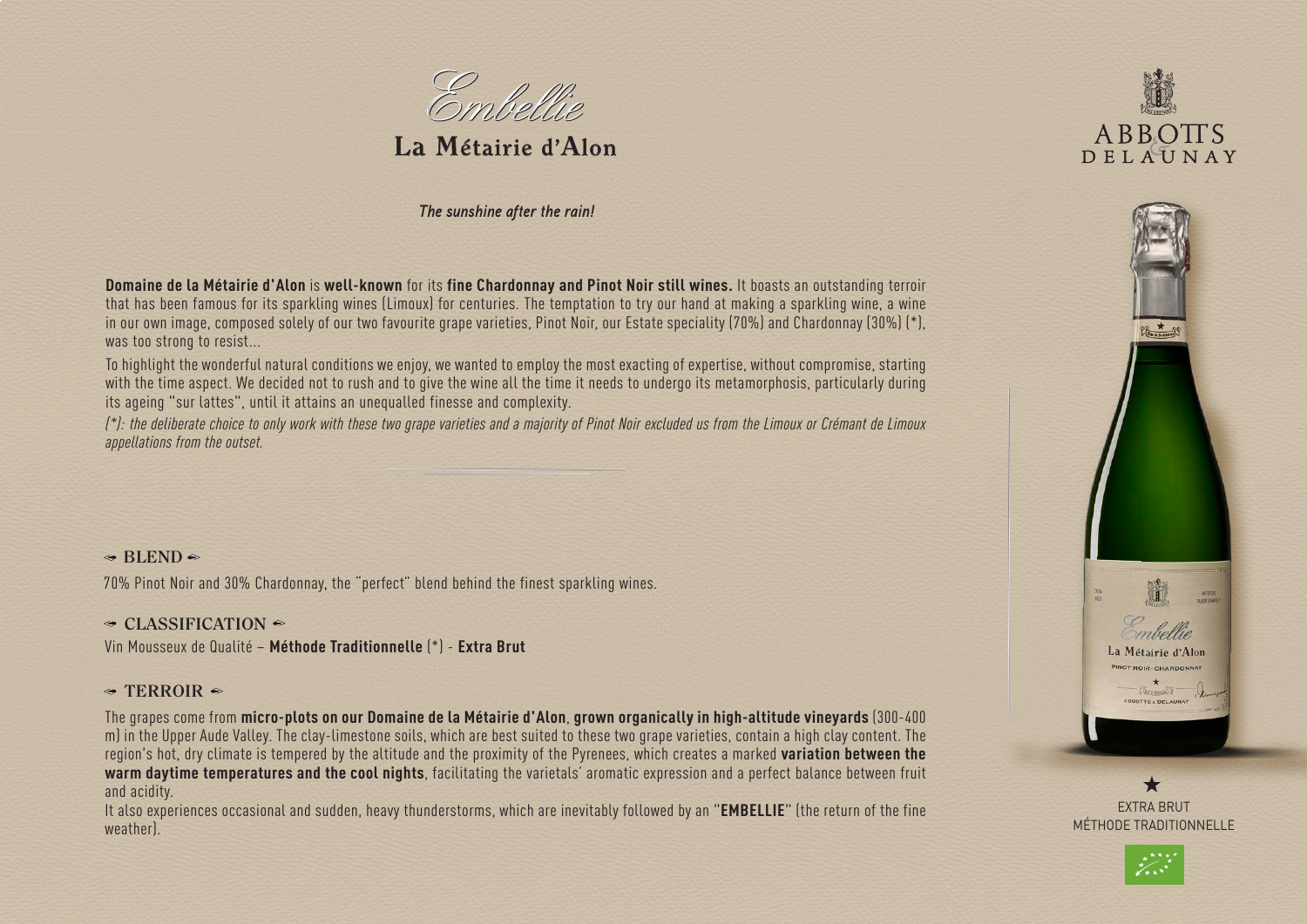

**La Métairie d'Alon**

*The sunshine after the rain!*

**Domaine de la Métairie d'Alon** is **well-known** for its **fine Chardonnay and Pinot Noir still wines.** It boasts an outstanding terroir that has been famous for its sparkling wines (Limoux) for centuries. The temptation to try our hand at making a sparkling wine, a wine in our own image, composed solely of our two favourite grape varieties, Pinot Noir, our Estate speciality (70%) and Chardonnay (30%) (\*), was too strong to resist...

To highlight the wonderful natural conditions we enjoy, we wanted to employ the most exacting of expertise, without compromise, starting with the time aspect. We decided not to rush and to give the wine all the time it needs to undergo its metamorphosis, particularly during its ageing "sur lattes", until it attains an unequalled finesse and complexity.

*(\*): the deliberate choice to only work with these two grape varieties and a majority of Pinot Noir excluded us from the Limoux or Crémant de Limoux appellations from the outset.*

## $\triangleleft$  **BLEND** $\triangleq$

70% Pinot Noir and 30% Chardonnay, the "perfect" blend behind the finest sparkling wines.

### **← CLASSIFICATION** ←

Vin Mousseux de Qualité – **Méthode Traditionnelle** (\*) - **Extra Brut**

### $\triangleleft$  TERROIR  $\triangleleft$

The grapes come from **micro-plots on our Domaine de la Métairie d'Alon**, **grown organically in high-altitude vineyards** (300-400 m) in the Upper Aude Valley. The clay-limestone soils, which are best suited to these two grape varieties, contain a high clay content. The region's hot, dry climate is tempered by the altitude and the proximity of the Pyrenees, which creates a marked **variation between the warm daytime temperatures and the cool nights**, facilitating the varietals' aromatic expression and a perfect balance between fruit and acidity.

It also experiences occasional and sudden, heavy thunderstorms, which are inevitably followed by an "**EMBELLIE**" (the return of the fine weather).





EXTRA BRUT MÉTHODE TRADITIONNELLE